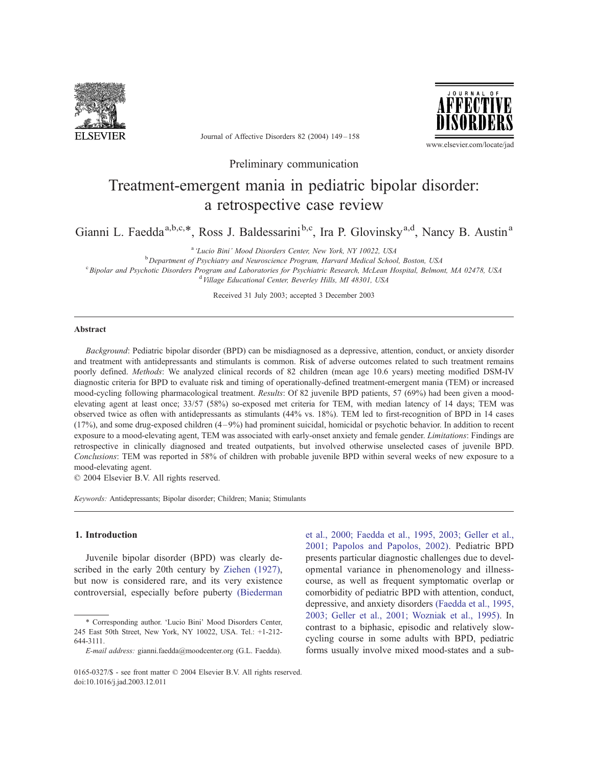

Journal of Affective Disorders 82 (2004) 149–158



www.elsevier.com/locate/jad

Preliminary communication

# Treatment-emergent mania in pediatric bipolar disorder: a retrospective case review

Gianni L. Faedda<sup>a,b,c,\*</sup>, Ross J. Baldessarini<sup>b,c</sup>, Ira P. Glovinsky<sup>a,d</sup>, Nancy B. Austin<sup>a</sup>

<sup>a</sup> 'Lucio Bini' Mood Disorders Center, New York, NY 10022, USA

<sup>b</sup> Department of Psychiatry and Neuroscience Program, Harvard Medical School, Boston, USA <sup>c</sup> Bipolar and Psychotic Disorders Program and Laboratories for Psychiatric Research, McLean Hospital, Belmont, MA 02478, USA <sup>d</sup> Village Educational Center, Beverley Hills, MI 48301, USA

Received 31 July 2003; accepted 3 December 2003

#### Abstract

Background: Pediatric bipolar disorder (BPD) can be misdiagnosed as a depressive, attention, conduct, or anxiety disorder and treatment with antidepressants and stimulants is common. Risk of adverse outcomes related to such treatment remains poorly defined. Methods: We analyzed clinical records of 82 children (mean age 10.6 years) meeting modified DSM-IV diagnostic criteria for BPD to evaluate risk and timing of operationally-defined treatment-emergent mania (TEM) or increased mood-cycling following pharmacological treatment. Results: Of 82 juvenile BPD patients, 57 (69%) had been given a moodelevating agent at least once; 33/57 (58%) so-exposed met criteria for TEM, with median latency of 14 days; TEM was observed twice as often with antidepressants as stimulants (44% vs. 18%). TEM led to first-recognition of BPD in 14 cases (17%), and some drug-exposed children (4–9%) had prominent suicidal, homicidal or psychotic behavior. In addition to recent exposure to a mood-elevating agent, TEM was associated with early-onset anxiety and female gender. Limitations: Findings are retrospective in clinically diagnosed and treated outpatients, but involved otherwise unselected cases of juvenile BPD. Conclusions: TEM was reported in 58% of children with probable juvenile BPD within several weeks of new exposure to a mood-elevating agent.

 $© 2004 Elsevier B.V. All rights reserved.$ 

Keywords: Antidepressants; Bipolar disorder; Children; Mania; Stimulants

## 1. Introduction

Juvenile bipolar disorder (BPD) was clearly described in the early 20th century by Ziehen (1927), but now is considered rare, and its very existence controversial, especially before puberty (Biederman et al., 2000; Faedda et al., 1995, 2003; Geller et al.,

<sup>\*</sup> Corresponding author. 'Lucio Bini' Mood Disorders Center, 245 East 50th Street, New York, NY 10022, USA. Tel.: +1-212- 644-3111.

E-mail address: gianni.faedda@moodcenter.org (G.L. Faedda).

<sup>2001;</sup> Papolos and Papolos, 2002). Pediatric BPD presents particular diagnostic challenges due to developmental variance in phenomenology and illnesscourse, as well as frequent symptomatic overlap or comorbidity of pediatric BPD with attention, conduct, depressive, and anxiety disorders (Faedda et al., 1995, 2003; Geller et al., 2001; Wozniak et al., 1995). In contrast to a biphasic, episodic and relatively slowcycling course in some adults with BPD, pediatric forms usually involve mixed mood-states and a sub-

<sup>0165-0327/\$ -</sup> see front matter  $\odot$  2004 Elsevier B.V. All rights reserved. doi:10.1016/j.jad.2003.12.011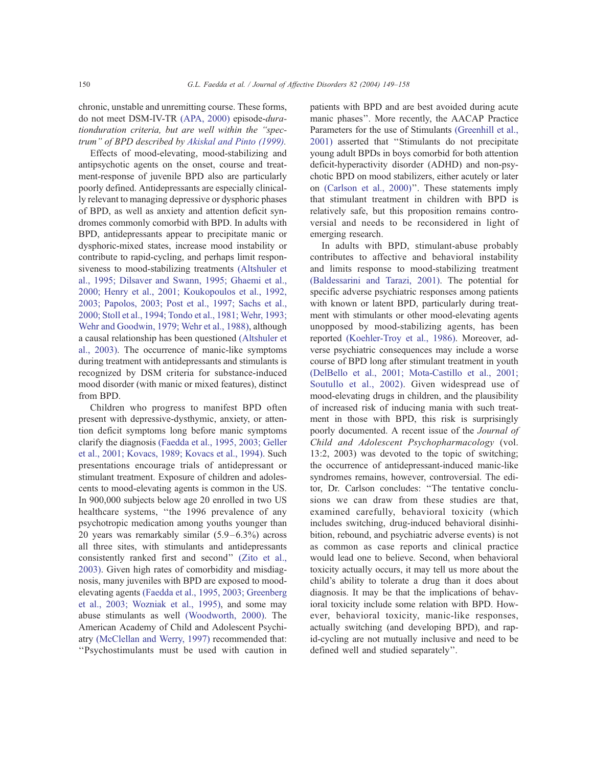chronic, unstable and unremitting course. These forms, do not meet DSM-IV-TR (APA, 2000) episode-durationduration criteria, but are well within the ''spectrum'' of BPD described by Akiskal and Pinto (1999).

Effects of mood-elevating, mood-stabilizing and antipsychotic agents on the onset, course and treatment-response of juvenile BPD also are particularly poorly defined. Antidepressants are especially clinically relevant to managing depressive or dysphoric phases of BPD, as well as anxiety and attention deficit syndromes commonly comorbid with BPD. In adults with BPD, antidepressants appear to precipitate manic or dysphoric-mixed states, increase mood instability or contribute to rapid-cycling, and perhaps limit responsiveness to mood-stabilizing treatments (Altshuler et al., 1995; Dilsaver and Swann, 1995; Ghaemi et al., 2000; Henry et al., 2001; Koukopoulos et al., 1992, 2003; Papolos, 2003; Post et al., 1997; Sachs et al., 2000; Stoll et al., 1994; Tondo et al., 1981; Wehr, 1993; Wehr and Goodwin, 1979; Wehr et al., 1988), although a causal relationship has been questioned (Altshuler et al., 2003). The occurrence of manic-like symptoms during treatment with antidepressants and stimulants is recognized by DSM criteria for substance-induced mood disorder (with manic or mixed features), distinct from BPD.

Children who progress to manifest BPD often present with depressive-dysthymic, anxiety, or attention deficit symptoms long before manic symptoms clarify the diagnosis (Faedda et al., 1995, 2003; Geller et al., 2001; Kovacs, 1989; Kovacs et al., 1994). Such presentations encourage trials of antidepressant or stimulant treatment. Exposure of children and adolescents to mood-elevating agents is common in the US. In 900,000 subjects below age 20 enrolled in two US healthcare systems, "the 1996 prevalence of any psychotropic medication among youths younger than 20 years was remarkably similar (5.9–6.3%) across all three sites, with stimulants and antidepressants consistently ranked first and second'' (Zito et al., 2003). Given high rates of comorbidity and misdiagnosis, many juveniles with BPD are exposed to moodelevating agents (Faedda et al., 1995, 2003; Greenberg et al., 2003; Wozniak et al., 1995), and some may abuse stimulants as well (Woodworth, 2000). The American Academy of Child and Adolescent Psychiatry (McClellan and Werry, 1997) recommended that: ''Psychostimulants must be used with caution in

patients with BPD and are best avoided during acute manic phases''. More recently, the AACAP Practice Parameters for the use of Stimulants (Greenhill et al., 2001) asserted that ''Stimulants do not precipitate young adult BPDs in boys comorbid for both attention deficit-hyperactivity disorder (ADHD) and non-psychotic BPD on mood stabilizers, either acutely or later on (Carlson et al., 2000)''. These statements imply that stimulant treatment in children with BPD is relatively safe, but this proposition remains controversial and needs to be reconsidered in light of emerging research.

In adults with BPD, stimulant-abuse probably contributes to affective and behavioral instability and limits response to mood-stabilizing treatment (Baldessarini and Tarazi, 2001). The potential for specific adverse psychiatric responses among patients with known or latent BPD, particularly during treatment with stimulants or other mood-elevating agents unopposed by mood-stabilizing agents, has been reported (Koehler-Troy et al., 1986). Moreover, adverse psychiatric consequences may include a worse course of BPD long after stimulant treatment in youth (DelBello et al., 2001; Mota-Castillo et al., 2001; Soutullo et al., 2002). Given widespread use of mood-elevating drugs in children, and the plausibility of increased risk of inducing mania with such treatment in those with BPD, this risk is surprisingly poorly documented. A recent issue of the *Journal of* Child and Adolescent Psychopharmacology (vol. 13:2, 2003) was devoted to the topic of switching; the occurrence of antidepressant-induced manic-like syndromes remains, however, controversial. The editor, Dr. Carlson concludes: ''The tentative conclusions we can draw from these studies are that, examined carefully, behavioral toxicity (which includes switching, drug-induced behavioral disinhibition, rebound, and psychiatric adverse events) is not as common as case reports and clinical practice would lead one to believe. Second, when behavioral toxicity actually occurs, it may tell us more about the child's ability to tolerate a drug than it does about diagnosis. It may be that the implications of behavioral toxicity include some relation with BPD. However, behavioral toxicity, manic-like responses, actually switching (and developing BPD), and rapid-cycling are not mutually inclusive and need to be defined well and studied separately''.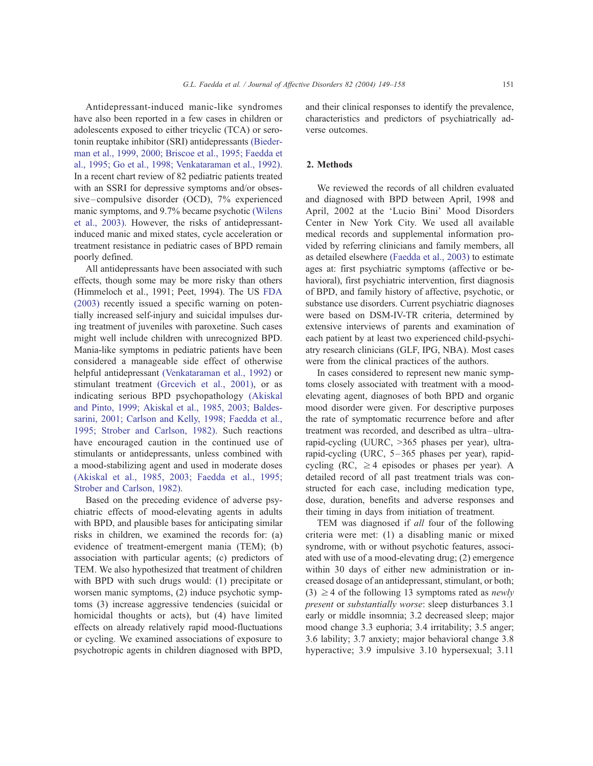Antidepressant-induced manic-like syndromes have also been reported in a few cases in children or adolescents exposed to either tricyclic (TCA) or serotonin reuptake inhibitor (SRI) antidepressants (Biederman et al., 1999, 2000; Briscoe et al., 1995; Faedda et al., 1995; Go et al., 1998; Venkataraman et al., 1992). In a recent chart review of 82 pediatric patients treated with an SSRI for depressive symptoms and/or obsessive–compulsive disorder (OCD), 7% experienced manic symptoms, and 9.7% became psychotic (Wilens et al., 2003). However, the risks of antidepressantinduced manic and mixed states, cycle acceleration or treatment resistance in pediatric cases of BPD remain poorly defined.

All antidepressants have been associated with such effects, though some may be more risky than others (Himmeloch et al., 1991; Peet, 1994). The US FDA (2003) recently issued a specific warning on potentially increased self-injury and suicidal impulses during treatment of juveniles with paroxetine. Such cases might well include children with unrecognized BPD. Mania-like symptoms in pediatric patients have been considered a manageable side effect of otherwise helpful antidepressant (Venkataraman et al., 1992) or stimulant treatment (Greevich et al., 2001), or as indicating serious BPD psychopathology (Akiskal and Pinto, 1999; Akiskal et al., 1985, 2003; Baldessarini, 2001; Carlson and Kelly, 1998; Faedda et al., 1995; Strober and Carlson, 1982). Such reactions have encouraged caution in the continued use of stimulants or antidepressants, unless combined with a mood-stabilizing agent and used in moderate doses (Akiskal et al., 1985, 2003; Faedda et al., 1995; Strober and Carlson, 1982).

Based on the preceding evidence of adverse psychiatric effects of mood-elevating agents in adults with BPD, and plausible bases for anticipating similar risks in children, we examined the records for: (a) evidence of treatment-emergent mania (TEM); (b) association with particular agents; (c) predictors of TEM. We also hypothesized that treatment of children with BPD with such drugs would: (1) precipitate or worsen manic symptoms, (2) induce psychotic symptoms (3) increase aggressive tendencies (suicidal or homicidal thoughts or acts), but (4) have limited effects on already relatively rapid mood-fluctuations or cycling. We examined associations of exposure to psychotropic agents in children diagnosed with BPD,

and their clinical responses to identify the prevalence, characteristics and predictors of psychiatrically adverse outcomes.

## 2. Methods

We reviewed the records of all children evaluated and diagnosed with BPD between April, 1998 and April, 2002 at the 'Lucio Bini' Mood Disorders Center in New York City. We used all available medical records and supplemental information provided by referring clinicians and family members, all as detailed elsewhere (Faedda et al., 2003) to estimate ages at: first psychiatric symptoms (affective or behavioral), first psychiatric intervention, first diagnosis of BPD, and family history of affective, psychotic, or substance use disorders. Current psychiatric diagnoses were based on DSM-IV-TR criteria, determined by extensive interviews of parents and examination of each patient by at least two experienced child-psychiatry research clinicians (GLF, IPG, NBA). Most cases were from the clinical practices of the authors.

In cases considered to represent new manic symptoms closely associated with treatment with a moodelevating agent, diagnoses of both BPD and organic mood disorder were given. For descriptive purposes the rate of symptomatic recurrence before and after treatment was recorded, and described as ultra–ultrarapid-cycling (UURC, >365 phases per year), ultrarapid-cycling (URC, 5–365 phases per year), rapidcycling (RC,  $\geq$  4 episodes or phases per year). A detailed record of all past treatment trials was constructed for each case, including medication type, dose, duration, benefits and adverse responses and their timing in days from initiation of treatment.

TEM was diagnosed if all four of the following criteria were met: (1) a disabling manic or mixed syndrome, with or without psychotic features, associated with use of a mood-elevating drug; (2) emergence within 30 days of either new administration or increased dosage of an antidepressant, stimulant, or both; (3)  $\geq$  4 of the following 13 symptoms rated as *newly* present or substantially worse: sleep disturbances 3.1 early or middle insomnia; 3.2 decreased sleep; major mood change 3.3 euphoria; 3.4 irritability; 3.5 anger; 3.6 lability; 3.7 anxiety; major behavioral change 3.8 hyperactive; 3.9 impulsive 3.10 hypersexual; 3.11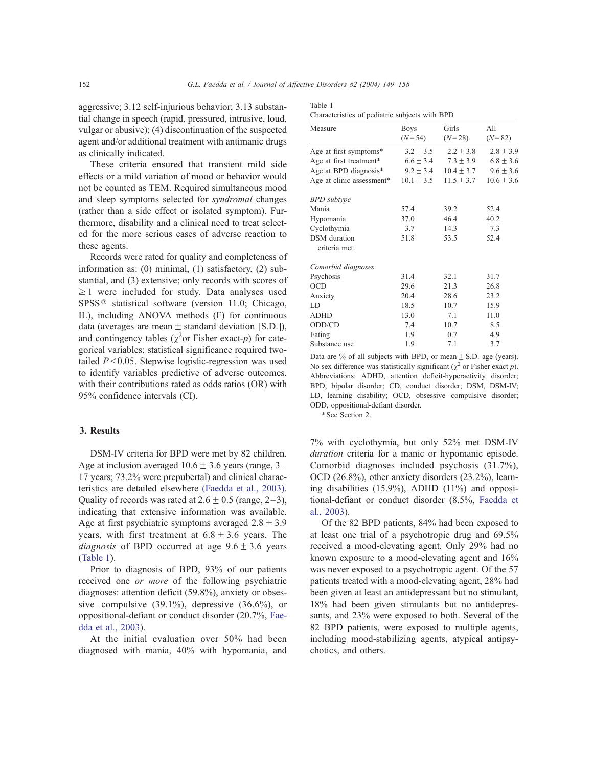Table 1

aggressive; 3.12 self-injurious behavior; 3.13 substantial change in speech (rapid, pressured, intrusive, loud, vulgar or abusive); (4) discontinuation of the suspected agent and/or additional treatment with antimanic drugs as clinically indicated.

These criteria ensured that transient mild side effects or a mild variation of mood or behavior would not be counted as TEM. Required simultaneous mood and sleep symptoms selected for syndromal changes (rather than a side effect or isolated symptom). Furthermore, disability and a clinical need to treat selected for the more serious cases of adverse reaction to these agents.

Records were rated for quality and completeness of information as: (0) minimal, (1) satisfactory, (2) substantial, and (3) extensive; only records with scores of  $\geq$  1 were included for study. Data analyses used  $SPSS^{\circledR}$  statistical software (version 11.0; Chicago, IL), including ANOVA methods (F) for continuous data (averages are mean  $\pm$  standard deviation [S.D.]), and contingency tables ( $\chi^2$ or Fisher exact-p) for categorical variables; statistical significance required twotailed  $P < 0.05$ . Stepwise logistic-regression was used to identify variables predictive of adverse outcomes, with their contributions rated as odds ratios (OR) with 95% confidence intervals (CI).

#### 3. Results

DSM-IV criteria for BPD were met by 82 children. Age at inclusion averaged  $10.6 \pm 3.6$  years (range, 3– 17 years; 73.2% were prepubertal) and clinical characteristics are detailed elsewhere (Faedda et al., 2003). Quality of records was rated at  $2.6 \pm 0.5$  (range, 2–3), indicating that extensive information was available. Age at first psychiatric symptoms averaged  $2.8 \pm 3.9$ years, with first treatment at  $6.8 \pm 3.6$  years. The *diagnosis* of BPD occurred at age  $9.6 \pm 3.6$  years (Table 1).

Prior to diagnosis of BPD, 93% of our patients received one or more of the following psychiatric diagnoses: attention deficit (59.8%), anxiety or obsessive–compulsive (39.1%), depressive (36.6%), or oppositional-defiant or conduct disorder (20.7%, Faedda et al., 2003).

At the initial evaluation over 50% had been diagnosed with mania, 40% with hypomania, and

| $\alpha$ characteristics of pediutric subjects with $\beta_1$ $\beta_2$ |                  |                   |                 |  |  |  |
|-------------------------------------------------------------------------|------------------|-------------------|-----------------|--|--|--|
| Measure                                                                 | Boys<br>$(N=54)$ | Girls<br>$(N=28)$ | All<br>$(N=82)$ |  |  |  |
| Age at first symptoms*                                                  | $3.2 \pm 3.5$    | $2.2 \pm 3.8$     | $2.8 \pm 3.9$   |  |  |  |
| Age at first treatment*                                                 | $6.6 \pm 3.4$    | $7.3 \pm 3.9$     | $6.8 \pm 3.6$   |  |  |  |
| Age at BPD diagnosis <sup>*</sup>                                       | $9.2 \pm 3.4$    | $10.4 \pm 3.7$    | $9.6 \pm 3.6$   |  |  |  |
| Age at clinic assessment*                                               | $10.1 \pm 3.5$   | $11.5 \pm 3.7$    | $10.6 \pm 3.6$  |  |  |  |
| <b>BPD</b> subtype                                                      |                  |                   |                 |  |  |  |
| Mania                                                                   | 57.4             | 39.2              | 52.4            |  |  |  |
| Hypomania                                                               | 37.0             | 46.4              | 40.2            |  |  |  |
| Cyclothymia                                                             | 3.7              | 14.3              | 7.3             |  |  |  |
| DSM duration<br>criteria met                                            | 51.8             | 53.5              | 52.4            |  |  |  |
| Comorbid diagnoses                                                      |                  |                   |                 |  |  |  |
| Psychosis                                                               | 31.4             | 32.1              | 31.7            |  |  |  |
| <b>OCD</b>                                                              | 29.6             | 21.3              | 26.8            |  |  |  |
| Anxiety                                                                 | 20.4             | 28.6              | 23.2            |  |  |  |
| LD                                                                      | 18.5             | 10.7              | 15.9            |  |  |  |
| <b>ADHD</b>                                                             | 13.0             | 7.1               | 11.0            |  |  |  |
| ODD/CD                                                                  | 7.4              | 10.7              | 8.5             |  |  |  |
| Eating                                                                  | 1.9              | 0.7               | 4.9             |  |  |  |
| Substance use                                                           | 1.9              | 7.1               | 3.7             |  |  |  |
|                                                                         |                  |                   |                 |  |  |  |

Characteristics of pediatric subjects with BPD

Data are % of all subjects with BPD, or mean  $\pm$  S.D. age (years). No sex difference was statistically significant ( $\chi^2$  or Fisher exact p). Abbreviations: ADHD, attention deficit-hyperactivity disorder; BPD, bipolar disorder; CD, conduct disorder; DSM, DSM-IV; LD, learning disability; OCD, obsessive– compulsive disorder; ODD, oppositional-defiant disorder.

\*See Section 2.

7% with cyclothymia, but only 52% met DSM-IV duration criteria for a manic or hypomanic episode. Comorbid diagnoses included psychosis (31.7%), OCD (26.8%), other anxiety disorders (23.2%), learning disabilities (15.9%), ADHD (11%) and oppositional-defiant or conduct disorder (8.5%, Faedda et al., 2003).

Of the 82 BPD patients, 84% had been exposed to at least one trial of a psychotropic drug and 69.5% received a mood-elevating agent. Only 29% had no known exposure to a mood-elevating agent and 16% was never exposed to a psychotropic agent. Of the 57 patients treated with a mood-elevating agent, 28% had been given at least an antidepressant but no stimulant, 18% had been given stimulants but no antidepressants, and 23% were exposed to both. Several of the 82 BPD patients, were exposed to multiple agents, including mood-stabilizing agents, atypical antipsychotics, and others.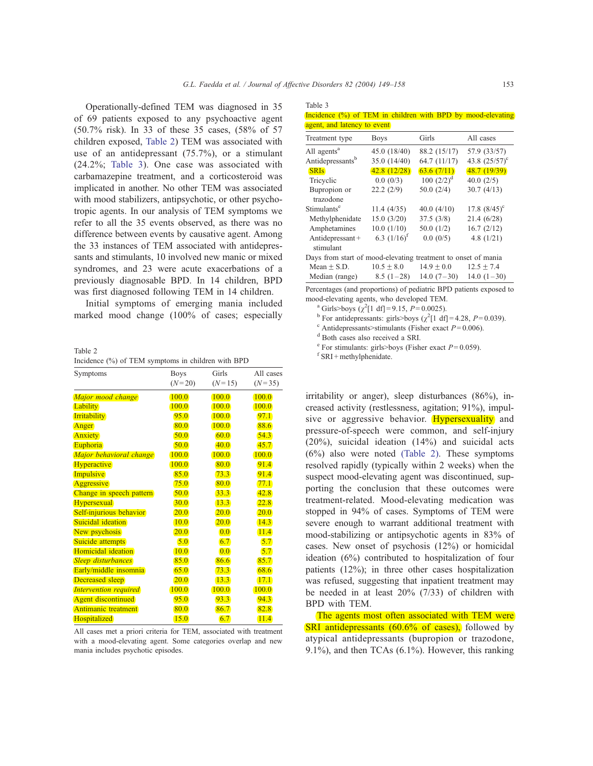Table 3

Operationally-defined TEM was diagnosed in 35 of 69 patients exposed to any psychoactive agent (50.7% risk). In 33 of these 35 cases, (58% of 57 children exposed, Table 2) TEM was associated with use of an antidepressant (75.7%), or a stimulant (24.2%; Table 3). One case was associated with carbamazepine treatment, and a corticosteroid was implicated in another. No other TEM was associated with mood stabilizers, antipsychotic, or other psychotropic agents. In our analysis of TEM symptoms we refer to all the 35 events observed, as there was no difference between events by causative agent. Among the 33 instances of TEM associated with antidepressants and stimulants, 10 involved new manic or mixed syndromes, and 23 were acute exacerbations of a previously diagnosable BPD. In 14 children, BPD was first diagnosed following TEM in 14 children.

Initial symptoms of emerging mania included marked mood change (100% of cases; especially

Table 2 Incidence (%) of TEM symptoms in children with BPD

| Symptoms                     | <b>Boys</b> | Girls    | All cases |  |
|------------------------------|-------------|----------|-----------|--|
|                              | $(N=20)$    | $(N=15)$ | $(N=35)$  |  |
| Major mood change            | 100.0       | 100.0    | 100.0     |  |
| <b>Lability</b>              | 100.0       | 100.0    | 100.0     |  |
| <b>Irritability</b>          | 95.0        | 100.0    | 97.1      |  |
| Anger                        | 80.0        | 100.0    | 88.6      |  |
| <b>Anxiety</b>               | 50.0        | 60.0     | 54.3      |  |
| Euphoria                     | 50.0        | 40.0     | 45.7      |  |
| Major behavioral change      | 100.0       | 100.0    | 100.0     |  |
| <b>Hyperactive</b>           | 100.0       | 80.0     | 91.4      |  |
| <b>Impulsive</b>             | 85.0        | 73.3     | 91.4      |  |
| Aggressive                   | 75.0        | 80.0     | 77.1      |  |
| Change in speech pattern     | 50.0        | 33.3     | 42.8      |  |
| Hypersexual                  | 30.0        | 13.3     | 22.8      |  |
| Self-injurious behavior      | 20.0        | 20.0     | 20.0      |  |
| Suicidal ideation            | 10.0        | 20.0     | 14.3      |  |
| New psychosis                | 20.0        | 0.0      | 11.4      |  |
| Suicide attempts             | 5.0         | 6.7      | 5.7       |  |
| Homicidal ideation           | 10.0        | 0.0      | 5.7       |  |
| <b>Sleep disturbances</b>    | 85.0        | 86.6     | 85.7      |  |
| Early/middle insomnia        | 65.0        | 73.3     | 68.6      |  |
| Decreased sleep              | 20.0        | 13.3     | 17.1      |  |
| <b>Intervention required</b> | 100.0       | 100.0    | 100.0     |  |
| <b>Agent discontinued</b>    | 95.0        | 93.3     | 94.3      |  |
| Antimanic treatment          | 80.0        | 86.7     | 82.8      |  |
| Hospitalized                 | 15.0        | 6.7      | 11.4      |  |

All cases met a priori criteria for TEM, associated with treatment with a mood-elevating agent. Some categories overlap and new mania includes psychotic episodes.

| $10010 \nu$                 |  |  |  |  |                                                             |
|-----------------------------|--|--|--|--|-------------------------------------------------------------|
|                             |  |  |  |  | Incidence (%) of TEM in children with BPD by mood-elevating |
| agent, and latency to event |  |  |  |  |                                                             |

| <b>Boys</b>                                                   | Girls          | All cases              |  |  |  |  |
|---------------------------------------------------------------|----------------|------------------------|--|--|--|--|
| 45.0 (18/40)                                                  | 88.2 (15/17)   | 57.9 (33/57)           |  |  |  |  |
| 35.0(14/40)                                                   | 64.7(11/17)    | 43.8 $(25/57)^{\circ}$ |  |  |  |  |
| 42.8(12/28)                                                   | 63.6(7/11)     | 48.7(19/39)            |  |  |  |  |
| 0.0(0/3)                                                      | $100~(2/2)^d$  | 40.0 $(2/5)$           |  |  |  |  |
| 22.2(2/9)                                                     | 50.0(2/4)      | 30.7(4/13)             |  |  |  |  |
|                                                               |                |                        |  |  |  |  |
| 11.4(4/35)                                                    | 40.0(4/10)     | 17.8 $(8/45)^{\circ}$  |  |  |  |  |
| 15.0(3/20)                                                    | 37.5(3/8)      | 21.4(6/28)             |  |  |  |  |
| 10.0(1/10)                                                    | 50.0(1/2)      | 16.7(2/12)             |  |  |  |  |
| 6.3 $(1/16)^f$                                                | 0.0(0/5)       | 4.8 $(1/21)$           |  |  |  |  |
|                                                               |                |                        |  |  |  |  |
| Days from start of mood-elevating treatment to onset of mania |                |                        |  |  |  |  |
| $10.5 + 8.0$                                                  | $14.9 \pm 0.0$ | $12.5 \pm 7.4$         |  |  |  |  |
| $8.5(1-28)$                                                   | $14.0(7-30)$   | $14.0(1-30)$           |  |  |  |  |
|                                                               |                |                        |  |  |  |  |

Percentages (and proportions) of pediatric BPD patients exposed to mood-elevating agents, who developed TEM.<br><sup>a</sup> Girls>boys ( $\chi^2$ [1 df] = 9.15, *P* = 0.0025).

<sup>a</sup> Girls>boys ( $\chi^2[1 \text{ df}]=9.15$ ,  $P=0.0025$ ).<br><sup>b</sup> For antidepressants: girls>boys ( $\chi^2[1 \text{ df}]$ 

<sup>o</sup> For antidepressants: girls>boys ( $\chi^2[1 \text{ df}]=4.28$ ,  $P=0.039$ ).<br>
<sup>d</sup> Both cases also received a SRI.<br>
<sup>e</sup> For stimulants: girls>boys (Fisher exact  $P=0.059$ ).<br>
f SRI + methylphenidate.

irritability or anger), sleep disturbances (86%), increased activity (restlessness, agitation; 91%), impulsive or aggressive behavior. Hypersexuality and pressure-of-speech were common, and self-injury (20%), suicidal ideation (14%) and suicidal acts (6%) also were noted (Table 2). These symptoms resolved rapidly (typically within 2 weeks) when the suspect mood-elevating agent was discontinued, supporting the conclusion that these outcomes were treatment-related. Mood-elevating medication was stopped in 94% of cases. Symptoms of TEM were severe enough to warrant additional treatment with mood-stabilizing or antipsychotic agents in 83% of cases. New onset of psychosis (12%) or homicidal ideation (6%) contributed to hospitalization of four patients (12%); in three other cases hospitalization was refused, suggesting that inpatient treatment may be needed in at least 20% (7/33) of children with BPD with TEM.

The agents most often associated with TEM were SRI antidepressants (60.6% of cases), followed by atypical antidepressants (bupropion or trazodone, 9.1%), and then TCAs (6.1%). However, this ranking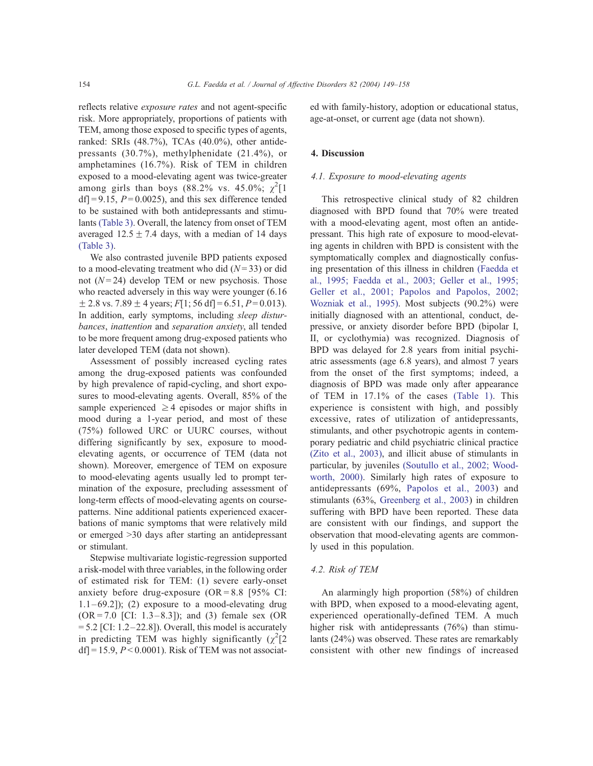reflects relative exposure rates and not agent-specific risk. More appropriately, proportions of patients with TEM, among those exposed to specific types of agents, ranked: SRIs (48.7%), TCAs (40.0%), other antidepressants (30.7%), methylphenidate (21.4%), or amphetamines (16.7%). Risk of TEM in children exposed to a mood-elevating agent was twice-greater among girls than boys (88.2% vs. 45.0%;  $\chi^2[1]$  $df$  = 9.15,  $P = 0.0025$ ), and this sex difference tended to be sustained with both antidepressants and stimulants (Table 3). Overall, the latency from onset of TEM averaged  $12.5 \pm 7.4$  days, with a median of 14 days (Table 3).

We also contrasted juvenile BPD patients exposed to a mood-elevating treatment who did  $(N=33)$  or did not  $(N=24)$  develop TEM or new psychosis. Those who reacted adversely in this way were younger (6.16  $\pm$  2.8 vs. 7.89  $\pm$  4 years; F[1; 56 df] = 6.51, P = 0.013). In addition, early symptoms, including *sleep distur*bances, inattention and separation anxiety, all tended to be more frequent among drug-exposed patients who later developed TEM (data not shown).

Assessment of possibly increased cycling rates among the drug-exposed patients was confounded by high prevalence of rapid-cycling, and short exposures to mood-elevating agents. Overall, 85% of the sample experienced  $\geq$  4 episodes or major shifts in mood during a 1-year period, and most of these (75%) followed URC or UURC courses, without differing significantly by sex, exposure to moodelevating agents, or occurrence of TEM (data not shown). Moreover, emergence of TEM on exposure to mood-elevating agents usually led to prompt termination of the exposure, precluding assessment of long-term effects of mood-elevating agents on coursepatterns. Nine additional patients experienced exacerbations of manic symptoms that were relatively mild or emerged >30 days after starting an antidepressant or stimulant.

Stepwise multivariate logistic-regression supported a risk-model with three variables, in the following order of estimated risk for TEM: (1) severe early-onset anxiety before drug-exposure  $(OR = 8.8)$  [95% CI:  $1.1-69.2$ ]); (2) exposure to a mood-elevating drug  $(OR = 7.0$  [CI: 1.3–8.3]); and (3) female sex (OR  $= 5.2$  [CI: 1.2–22.8]). Overall, this model is accurately in predicting TEM was highly significantly  $(\chi^2)$  $df$  = 15.9,  $P < 0.0001$ ). Risk of TEM was not associated with family-history, adoption or educational status, age-at-onset, or current age (data not shown).

## 4. Discussion

## 4.1. Exposure to mood-elevating agents

This retrospective clinical study of 82 children diagnosed with BPD found that 70% were treated with a mood-elevating agent, most often an antidepressant. This high rate of exposure to mood-elevating agents in children with BPD is consistent with the symptomatically complex and diagnostically confusing presentation of this illness in children (Faedda et al., 1995; Faedda et al., 2003; Geller et al., 1995; Geller et al., 2001; Papolos and Papolos, 2002; Wozniak et al., 1995). Most subjects (90.2%) were initially diagnosed with an attentional, conduct, depressive, or anxiety disorder before BPD (bipolar I, II, or cyclothymia) was recognized. Diagnosis of BPD was delayed for 2.8 years from initial psychiatric assessments (age 6.8 years), and almost 7 years from the onset of the first symptoms; indeed, a diagnosis of BPD was made only after appearance of TEM in 17.1% of the cases (Table 1). This experience is consistent with high, and possibly excessive, rates of utilization of antidepressants, stimulants, and other psychotropic agents in contemporary pediatric and child psychiatric clinical practice (Zito et al., 2003), and illicit abuse of stimulants in particular, by juveniles (Soutullo et al., 2002; Woodworth, 2000). Similarly high rates of exposure to antidepressants (69%, Papolos et al., 2003) and stimulants (63%, Greenberg et al., 2003) in children suffering with BPD have been reported. These data are consistent with our findings, and support the observation that mood-elevating agents are commonly used in this population.

## 4.2. Risk of TEM

An alarmingly high proportion (58%) of children with BPD, when exposed to a mood-elevating agent, experienced operationally-defined TEM. A much higher risk with antidepressants (76%) than stimulants (24%) was observed. These rates are remarkably consistent with other new findings of increased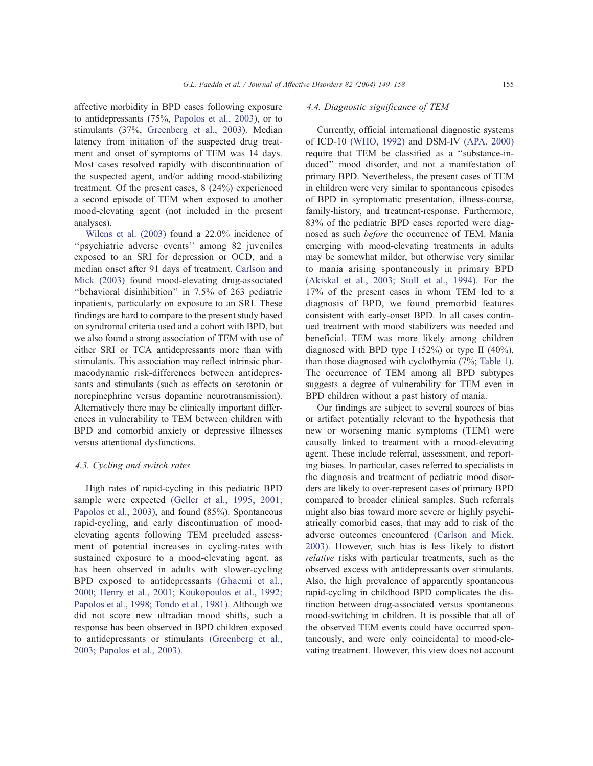affective morbidity in BPD cases following exposure to antidepressants (75%, Papolos et al., 2003), or to stimulants (37%, Greenberg et al., 2003). Median latency from initiation of the suspected drug treatment and onset of symptoms of TEM was 14 days. Most cases resolved rapidly with discontinuation of the suspected agent, and/or adding mood-stabilizing treatment. Of the present cases, 8 (24%) experienced a second episode of TEM when exposed to another mood-elevating agent (not included in the present analyses).

Wilens et al. (2003) found a 22.0% incidence of "psychiatric adverse events" among 82 juveniles exposed to an SRI for depression or OCD, and a median onset after 91 days of treatment. Carlson and Mick (2003) found mood-elevating drug-associated ''behavioral disinhibition'' in 7.5% of 263 pediatric inpatients, particularly on exposure to an SRI. These findings are hard to compare to the present study based on syndromal criteria used and a cohort with BPD, but we also found a strong association of TEM with use of either SRI or TCA antidepressants more than with stimulants. This association may reflect intrinsic pharmacodynamic risk-differences between antidepressants and stimulants (such as effects on serotonin or norepinephrine versus dopamine neurotransmission). Alternatively there may be clinically important differences in vulnerability to TEM between children with BPD and comorbid anxiety or depressive illnesses versus attentional dysfunctions.

#### 4.3. Cycling and switch rates

High rates of rapid-cycling in this pediatric BPD sample were expected (Geller et al., 1995, 2001, Papolos et al., 2003), and found (85%). Spontaneous rapid-cycling, and early discontinuation of moodelevating agents following TEM precluded assessment of potential increases in cycling-rates with sustained exposure to a mood-elevating agent, as has been observed in adults with slower-cycling BPD exposed to antidepressants (Ghaemi et al., 2000; Henry et al., 2001; Koukopoulos et al., 1992; Papolos et al., 1998; Tondo et al., 1981). Although we did not score new ultradian mood shifts, such a response has been observed in BPD children exposed to antidepressants or stimulants (Greenberg et al., 2003; Papolos et al., 2003).

Currently, official international diagnostic systems of ICD-10 (WHO, 1992) and DSM-IV (APA, 2000) require that TEM be classified as a ''substance-induced'' mood disorder, and not a manifestation of primary BPD. Nevertheless, the present cases of TEM in children were very similar to spontaneous episodes of BPD in symptomatic presentation, illness-course, family-history, and treatment-response. Furthermore, 83% of the pediatric BPD cases reported were diagnosed as such before the occurrence of TEM. Mania emerging with mood-elevating treatments in adults may be somewhat milder, but otherwise very similar to mania arising spontaneously in primary BPD (Akiskal et al., 2003; Stoll et al., 1994). For the 17% of the present cases in whom TEM led to a diagnosis of BPD, we found premorbid features consistent with early-onset BPD. In all cases continued treatment with mood stabilizers was needed and beneficial. TEM was more likely among children diagnosed with BPD type I  $(52\%)$  or type II  $(40\%)$ , than those diagnosed with cyclothymia (7%; Table 1). The occurrence of TEM among all BPD subtypes suggests a degree of vulnerability for TEM even in BPD children without a past history of mania.

Our findings are subject to several sources of bias or artifact potentially relevant to the hypothesis that new or worsening manic symptoms (TEM) were causally linked to treatment with a mood-elevating agent. These include referral, assessment, and reporting biases. In particular, cases referred to specialists in the diagnosis and treatment of pediatric mood disorders are likely to over-represent cases of primary BPD compared to broader clinical samples. Such referrals might also bias toward more severe or highly psychiatrically comorbid cases, that may add to risk of the adverse outcomes encountered (Carlson and Mick, 2003). However, such bias is less likely to distort relative risks with particular treatments, such as the observed excess with antidepressants over stimulants. Also, the high prevalence of apparently spontaneous rapid-cycling in childhood BPD complicates the distinction between drug-associated versus spontaneous mood-switching in children. It is possible that all of the observed TEM events could have occurred spontaneously, and were only coincidental to mood-elevating treatment. However, this view does not account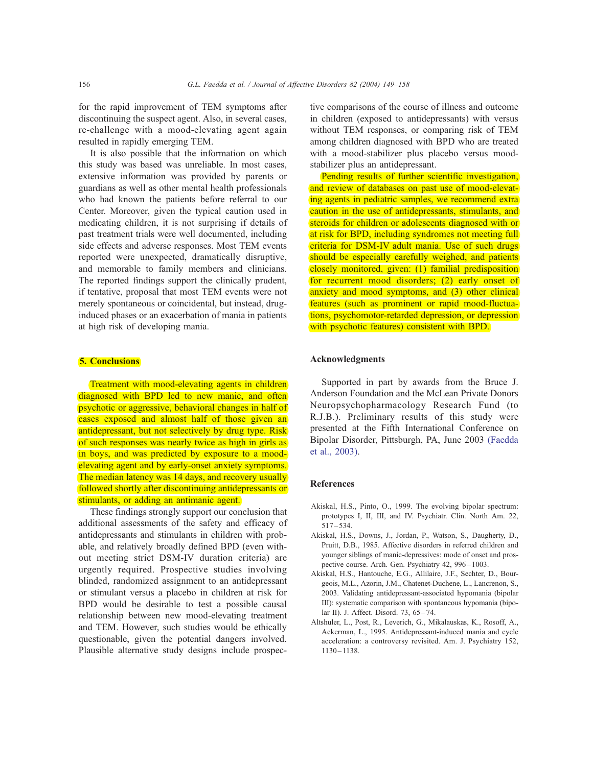for the rapid improvement of TEM symptoms after discontinuing the suspect agent. Also, in several cases, re-challenge with a mood-elevating agent again resulted in rapidly emerging TEM.

It is also possible that the information on which this study was based was unreliable. In most cases, extensive information was provided by parents or guardians as well as other mental health professionals who had known the patients before referral to our Center. Moreover, given the typical caution used in medicating children, it is not surprising if details of past treatment trials were well documented, including side effects and adverse responses. Most TEM events reported were unexpected, dramatically disruptive, and memorable to family members and clinicians. The reported findings support the clinically prudent, if tentative, proposal that most TEM events were not merely spontaneous or coincidental, but instead, druginduced phases or an exacerbation of mania in patients at high risk of developing mania.

### 5. Conclusions

Treatment with mood-elevating agents in children diagnosed with BPD led to new manic, and often psychotic or aggressive, behavioral changes in half of cases exposed and almost half of those given an antidepressant, but not selectively by drug type. Risk of such responses was nearly twice as high in girls as in boys, and was predicted by exposure to a moodelevating agent and by early-onset anxiety symptoms. The median latency was 14 days, and recovery usually followed shortly after discontinuing antidepressants or stimulants, or adding an antimanic agent.

These findings strongly support our conclusion that additional assessments of the safety and efficacy of antidepressants and stimulants in children with probable, and relatively broadly defined BPD (even without meeting strict DSM-IV duration criteria) are urgently required. Prospective studies involving blinded, randomized assignment to an antidepressant or stimulant versus a placebo in children at risk for BPD would be desirable to test a possible causal relationship between new mood-elevating treatment and TEM. However, such studies would be ethically questionable, given the potential dangers involved. Plausible alternative study designs include prospec-

tive comparisons of the course of illness and outcome in children (exposed to antidepressants) with versus without TEM responses, or comparing risk of TEM among children diagnosed with BPD who are treated with a mood-stabilizer plus placebo versus moodstabilizer plus an antidepressant.

Pending results of further scientific investigation, and review of databases on past use of mood-elevating agents in pediatric samples, we recommend extra caution in the use of antidepressants, stimulants, and steroids for children or adolescents diagnosed with or at risk for BPD, including syndromes not meeting full criteria for DSM-IV adult mania. Use of such drugs should be especially carefully weighed, and patients closely monitored, given: (1) familial predisposition for recurrent mood disorders; (2) early onset of anxiety and mood symptoms, and (3) other clinical features (such as prominent or rapid mood-fluctuations, psychomotor-retarded depression, or depression with psychotic features) consistent with BPD.

#### Acknowledgments

Supported in part by awards from the Bruce J. Anderson Foundation and the McLean Private Donors Neuropsychopharmacology Research Fund (to R.J.B.). Preliminary results of this study were presented at the Fifth International Conference on Bipolar Disorder, Pittsburgh, PA, June 2003 (Faedda et al., 2003).

#### References

- Akiskal, H.S., Pinto, O., 1999. The evolving bipolar spectrum: prototypes I, II, III, and IV. Psychiatr. Clin. North Am. 22,  $517 - 534.$
- Akiskal, H.S., Downs, J., Jordan, P., Watson, S., Daugherty, D., Pruitt, D.B., 1985. Affective disorders in referred children and younger siblings of manic-depressives: mode of onset and prospective course. Arch. Gen. Psychiatry 42, 996–1003.
- Akiskal, H.S., Hantouche, E.G., Allilaire, J.F., Sechter, D., Bourgeois, M.L., Azorin, J.M., Chatenet-Duchene, L., Lancrenon, S., 2003. Validating antidepressant-associated hypomania (bipolar III): systematic comparison with spontaneous hypomania (bipolar II). J. Affect. Disord. 73, 65– 74.
- Altshuler, L., Post, R., Leverich, G., Mikalauskas, K., Rosoff, A., Ackerman, L., 1995. Antidepressant-induced mania and cycle acceleration: a controversy revisited. Am. J. Psychiatry 152, 1130–1138.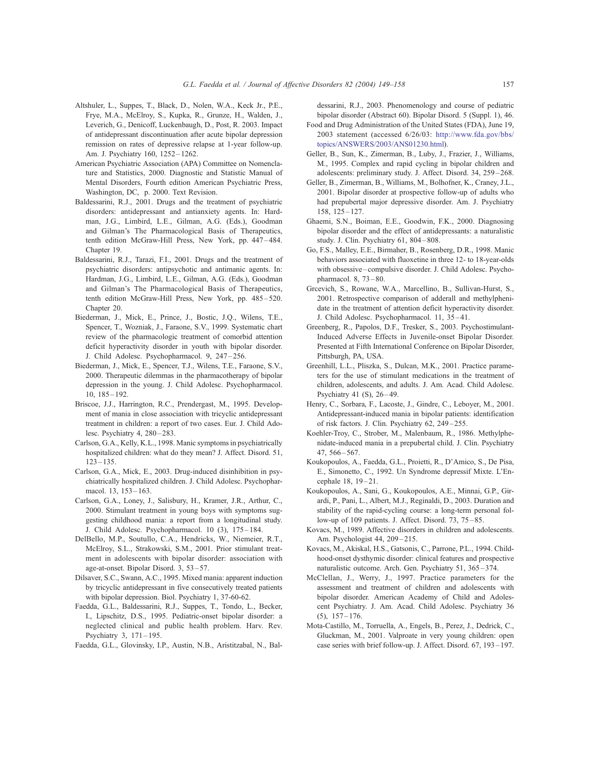- Altshuler, L., Suppes, T., Black, D., Nolen, W.A., Keck Jr., P.E., Frye, M.A., McElroy, S., Kupka, R., Grunze, H., Walden, J., Leverich, G., Denicoff, Luckenbaugh, D., Post, R. 2003. Impact of antidepressant discontinuation after acute bipolar depression remission on rates of depressive relapse at 1-year follow-up. Am. J. Psychiatry 160, 1252– 1262.
- American Psychiatric Association (APA) Committee on Nomenclature and Statistics, 2000. Diagnostic and Statistic Manual of Mental Disorders, Fourth edition American Psychiatric Press, Washington, DC, p. 2000. Text Revision.
- Baldessarini, R.J., 2001. Drugs and the treatment of psychiatric disorders: antidepressant and antianxiety agents. In: Hardman, J.G., Limbird, L.E., Gilman, A.G. (Eds.), Goodman and Gilman's The Pharmacological Basis of Therapeutics, tenth edition McGraw-Hill Press, New York, pp. 447–484. Chapter 19.
- Baldessarini, R.J., Tarazi, F.I., 2001. Drugs and the treatment of psychiatric disorders: antipsychotic and antimanic agents. In: Hardman, J.G., Limbird, L.E., Gilman, A.G. (Eds.), Goodman and Gilman's The Pharmacological Basis of Therapeutics, tenth edition McGraw-Hill Press, New York, pp. 485–520. Chapter 20.
- Biederman, J., Mick, E., Prince, J., Bostic, J.Q., Wilens, T.E., Spencer, T., Wozniak, J., Faraone, S.V., 1999. Systematic chart review of the pharmacologic treatment of comorbid attention deficit hyperactivity disorder in youth with bipolar disorder. J. Child Adolesc. Psychopharmacol. 9, 247-256.
- Biederman, J., Mick, E., Spencer, T.J., Wilens, T.E., Faraone, S.V., 2000. Therapeutic dilemmas in the pharmacotherapy of bipolar depression in the young. J. Child Adolesc. Psychopharmacol. 10, 185–192.
- Briscoe, J.J., Harrington, R.C., Prendergast, M., 1995. Development of mania in close association with tricyclic antidepressant treatment in children: a report of two cases. Eur. J. Child Adolesc. Psychiatry 4, 280–283.
- Carlson, G.A., Kelly, K.L., 1998. Manic symptoms in psychiatrically hospitalized children: what do they mean? J. Affect. Disord. 51, 123–135.
- Carlson, G.A., Mick, E., 2003. Drug-induced disinhibition in psychiatrically hospitalized children. J. Child Adolesc. Psychopharmacol. 13, 153– 163.
- Carlson, G.A., Loney, J., Salisbury, H., Kramer, J.R., Arthur, C., 2000. Stimulant treatment in young boys with symptoms suggesting childhood mania: a report from a longitudinal study. J. Child Adolesc. Psychopharmacol. 10 (3), 175– 184.
- DelBello, M.P., Soutullo, C.A., Hendricks, W., Niemeier, R.T., McElroy, S.L., Strakowski, S.M., 2001. Prior stimulant treatment in adolescents with bipolar disorder: association with age-at-onset. Bipolar Disord. 3, 53–57.
- Dilsaver, S.C., Swann, A.C., 1995. Mixed mania: apparent induction by tricyclic antidepressant in five consecutively treated patients with bipolar depression. Biol. Psychiatry 1, 37-60-62.
- Faedda, G.L., Baldessarini, R.J., Suppes, T., Tondo, L., Becker, I., Lipschitz, D.S., 1995. Pediatric-onset bipolar disorder: a neglected clinical and public health problem. Harv. Rev. Psychiatry 3, 171– 195.
- Faedda, G.L., Glovinsky, I.P., Austin, N.B., Aristitzabal, N., Bal-

dessarini, R.J., 2003. Phenomenology and course of pediatric bipolar disorder (Abstract 60). Bipolar Disord. 5 (Suppl. 1), 46.

- Food and Drug Administration of the United States (FDA), June 19, 2003 statement (accessed 6/26/03: http://www.fda.gov/bbs/ topics/ANSWERS/2003/ANS01230.html).
- Geller, B., Sun, K., Zimerman, B., Luby, J., Frazier, J., Williams, M., 1995. Complex and rapid cycling in bipolar children and adolescents: preliminary study. J. Affect. Disord. 34, 259-268.
- Geller, B., Zimerman, B., Williams, M., Bolhofner, K., Craney, J.L., 2001. Bipolar disorder at prospective follow-up of adults who had prepubertal major depressive disorder. Am. J. Psychiatry 158, 125– 127.
- Ghaemi, S.N., Boiman, E.E., Goodwin, F.K., 2000. Diagnosing bipolar disorder and the effect of antidepressants: a naturalistic study. J. Clin. Psychiatry 61, 804– 808.
- Go, F.S., Malley, E.E., Birmaher, B., Rosenberg, D.R., 1998. Manic behaviors associated with fluoxetine in three 12- to 18-year-olds with obsessive–compulsive disorder. J. Child Adolesc. Psychopharmacol. 8, 73–80.
- Grcevich, S., Rowane, W.A., Marcellino, B., Sullivan-Hurst, S., 2001. Retrospective comparison of adderall and methylphenidate in the treatment of attention deficit hyperactivity disorder. J. Child Adolesc. Psychopharmacol. 11, 35-41.
- Greenberg, R., Papolos, D.F., Tresker, S., 2003. Psychostimulant-Induced Adverse Effects in Juvenile-onset Bipolar Disorder. Presented at Fifth International Conference on Bipolar Disorder, Pittsburgh, PA, USA.
- Greenhill, L.L., Pliszka, S., Dulcan, M.K., 2001. Practice parameters for the use of stimulant medications in the treatment of children, adolescents, and adults. J. Am. Acad. Child Adolesc. Psychiatry 41 (S), 26-49.
- Henry, C., Sorbara, F., Lacoste, J., Gindre, C., Leboyer, M., 2001. Antidepressant-induced mania in bipolar patients: identification of risk factors. J. Clin. Psychiatry 62, 249–255.
- Koehler-Troy, C., Strober, M., Malenbaum, R., 1986. Methylphenidate-induced mania in a prepubertal child. J. Clin. Psychiatry 47, 566– 567.
- Koukopoulos, A., Faedda, G.L., Proietti, R., D'Amico, S., De Pisa, E., Simonetto, C., 1992. Un Syndrome depressif Mixte. L'Encephale 18, 19–21.
- Koukopoulos, A., Sani, G., Koukopoulos, A.E., Minnai, G.P., Girardi, P., Pani, L., Albert, M.J., Reginaldi, D., 2003. Duration and stability of the rapid-cycling course: a long-term personal follow-up of 109 patients. J. Affect. Disord. 73, 75–85.
- Kovacs, M., 1989. Affective disorders in children and adolescents. Am. Psychologist 44, 209-215.
- Kovacs, M., Akiskal, H.S., Gatsonis, C., Parrone, P.L., 1994. Childhood-onset dysthymic disorder: clinical features and prospective naturalistic outcome. Arch. Gen. Psychiatry 51, 365-374.
- McClellan, J., Werry, J., 1997. Practice parameters for the assessment and treatment of children and adolescents with bipolar disorder. American Academy of Child and Adolescent Psychiatry. J. Am. Acad. Child Adolesc. Psychiatry 36  $(5)$ ,  $157-176$ .
- Mota-Castillo, M., Torruella, A., Engels, B., Perez, J., Dedrick, C., Gluckman, M., 2001. Valproate in very young children: open case series with brief follow-up. J. Affect. Disord. 67, 193– 197.